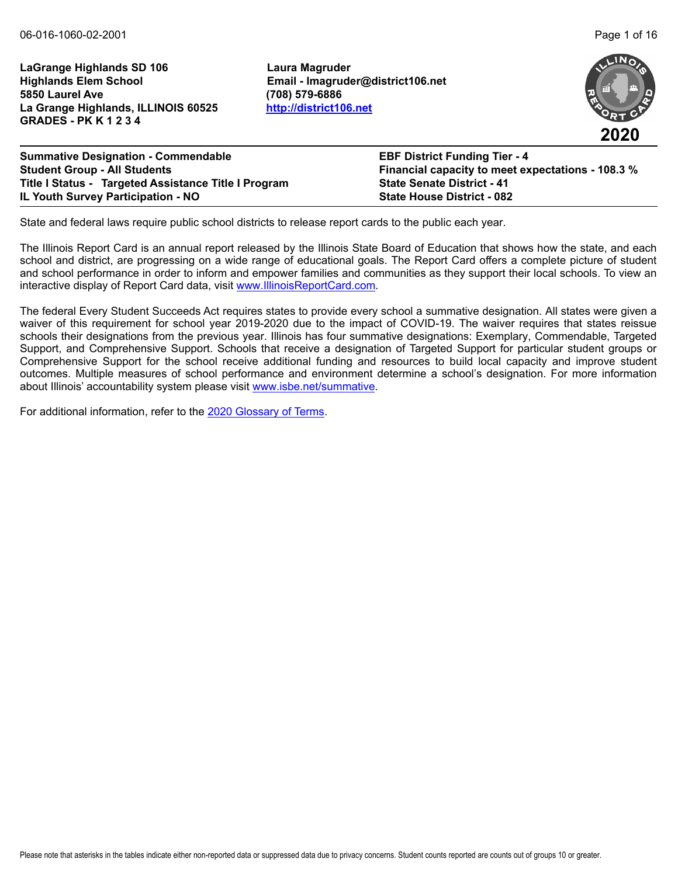Please note that asterisks in the tables indicate either non-reported data or suppressed data due to privacy concerns. Student counts reported are counts out of groups 10 or greater.

**LaGrange Highlands SD 106 Laura Magruder Highlands Elem School Email - lmagruder@district106.net 5850 Laurel Ave (708) 579-6886 La Grange Highlands, ILLINOIS 60525 <http://district106.net> GRADES - PK K 1 2 3 4**

**Summative Designation - Commendable EBF District Funding Tier - 4 Student Group - All Students Financial capacity to meet expectations - 108.3 % Title I Status - Targeted Assistance Title I Program State Senate District - 41 IL Youth Survey Participation - NO State House District - 082**

State and federal laws require public school districts to release report cards to the public each year.

The Illinois Report Card is an annual report released by the Illinois State Board of Education that shows how the state, and each school and district, are progressing on a wide range of educational goals. The Report Card offers a complete picture of student and school performance in order to inform and empower families and communities as they support their local schools. To view an interactive display of Report Card data, visit [www.IllinoisReportCard.com](https://www.illinoisreportcard.com/).

The federal Every Student Succeeds Act requires states to provide every school a summative designation. All states were given a waiver of this requirement for school year 2019-2020 due to the impact of COVID-19. The waiver requires that states reissue schools their designations from the previous year. Illinois has four summative designations: Exemplary, Commendable, Targeted Support, and Comprehensive Support. Schools that receive a designation of Targeted Support for particular student groups or Comprehensive Support for the school receive additional funding and resources to build local capacity and improve student outcomes. Multiple measures of school performance and environment determine a school's designation. For more information [about Illinois' accountabil](https://www.isbe.net/summative)ity system please visit [www.isbe.net/summative.](http://www.isbe.net/summative)

For additional information, refer to th[e 2020 Glossary of Terms.](https://www.isbe.net/Documents/2020-Glossary-of-Terms.pdf)

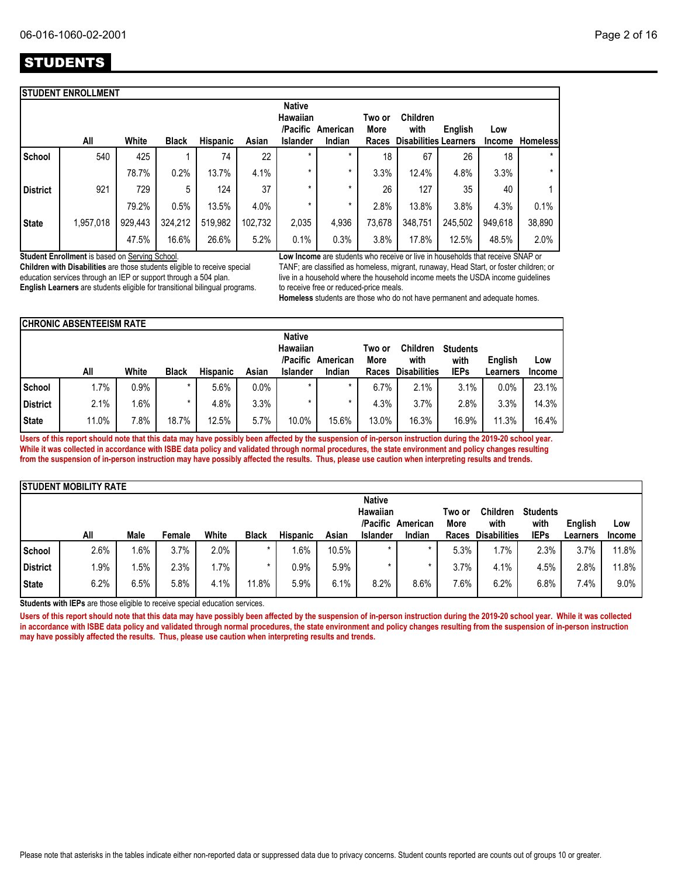|                 | <b>STUDENT ENROLLMENT</b> |         |              |                 |         |                                                          |                    |                         |                                                         |         |                      |                 |
|-----------------|---------------------------|---------|--------------|-----------------|---------|----------------------------------------------------------|--------------------|-------------------------|---------------------------------------------------------|---------|----------------------|-----------------|
|                 | All                       | White   | <b>Black</b> | <b>Hispanic</b> | Asian   | <b>Native</b><br>Hawaiian<br>/Pacific<br><b>Islander</b> | American<br>Indian | Two or<br>More<br>Races | <b>Children</b><br>with<br><b>Disabilities Learners</b> | English | Low<br><b>Income</b> | <b>Homeless</b> |
|                 |                           |         |              |                 |         | $\star$                                                  | $\star$            |                         |                                                         |         |                      | $\star$         |
| School          | 540                       | 425     |              | 74              | 22      |                                                          |                    | 18                      | 67                                                      | 26      | 18                   |                 |
|                 |                           | 78.7%   | 0.2%         | 13.7%           | 4.1%    | $\star$                                                  | $\star$            | 3.3%                    | 12.4%                                                   | 4.8%    | 3.3%                 | $\star$         |
| <b>District</b> | 921                       | 729     | 5            | 124             | 37      | $\star$                                                  | *                  | 26                      | 127                                                     | 35      | 40                   |                 |
|                 |                           | 79.2%   | 0.5%         | 13.5%           | 4.0%    | $\star$                                                  | $\star$            | 2.8%                    | 13.8%                                                   | 3.8%    | 4.3%                 | 0.1%            |
| <b>State</b>    | 1,957,018                 | 929,443 | 324,212      | 519,982         | 102,732 | 2,035                                                    | 4,936              | 73,678                  | 348,751                                                 | 245,502 | 949,618              | 38,890          |
|                 |                           | 47.5%   | 16.6%        | 26.6%           | 5.2%    | 0.1%                                                     | 0.3%               | 3.8%                    | 17.8%                                                   | 12.5%   | 48.5%                | 2.0%            |

**Student Enrollment** is based on Serving School.

**Children with Disabilities** are those students eligible to receive special education services through an IEP or support through a 504 plan. **English Learners** are students eligible for transitional bilingual programs. **Low Income** are students who receive or live in households that receive SNAP or TANF; are classified as homeless, migrant, runaway, Head Start, or foster children; or live in a household where the household income meets the USDA income guidelines to receive free or reduced-price meals.

**Homeless** students are those who do not have permanent and adequate homes.

|               | <b>CHRONIC ABSENTEEISM RATE</b> |        |              |                 |       |                                       |          |                |                         |                         |                |               |
|---------------|---------------------------------|--------|--------------|-----------------|-------|---------------------------------------|----------|----------------|-------------------------|-------------------------|----------------|---------------|
|               |                                 |        |              |                 |       | <b>Native</b><br>Hawaiian<br>/Pacific | American | Two or<br>More | <b>Children</b><br>with | <b>Students</b><br>with | <b>Enalish</b> | Low           |
|               | All                             | White  | <b>Black</b> | <b>Hispanic</b> | Asian | <b>Islander</b>                       | Indian   | Races          | <b>Disabilities</b>     | <b>IEPs</b>             | ∟earners       | <b>Income</b> |
| <b>School</b> | 1.7%                            | 0.9%   |              | 5.6%            | 0.0%  |                                       |          | 6.7%           | 2.1%                    | 3.1%                    | 0.0%           | 23.1%         |
| District      | 2.1%                            | $.6\%$ |              | 4.8%            | 3.3%  |                                       | $\star$  | 4.3%           | 3.7%                    | 2.8%                    | 3.3%           | 14.3%         |
| <b>State</b>  | 11.0%                           | 7.8%   | 18.7%        | 12.5%           | 5.7%  | 10.0%                                 | 15.6%    | 13.0%          | 16.3%                   | 16.9%                   | 11.3%          | 16.4%         |

**Users of this report should note that this data may have possibly been affected by the suspension of in-person instruction during the 2019-20 school year. While it was collected in accordance with ISBE data policy and validated through normal procedures, the state environment and policy changes resulting from the suspension of in-person instruction may have possibly affected the results. Thus, please use caution when interpreting results and trends.**

|                 | <b>ISTUDENT MOBILITY RATE</b> |      |        |         |              |                 |       |                 |          |        |                     |                 |          |               |
|-----------------|-------------------------------|------|--------|---------|--------------|-----------------|-------|-----------------|----------|--------|---------------------|-----------------|----------|---------------|
|                 |                               |      |        |         |              |                 |       | <b>Native</b>   |          |        |                     |                 |          |               |
|                 |                               |      |        |         |              |                 |       | Hawaiian        |          | Two or | <b>Children</b>     | <b>Students</b> |          |               |
|                 |                               |      |        |         |              |                 |       | /Pacific        | American | More   | with                | with            | English  | Low           |
|                 | All                           | Male | Female | White   | <b>Black</b> | <b>Hispanic</b> | Asian | <b>Islander</b> | Indian   | Races  | <b>Disabilities</b> | <b>IEPs</b>     | Learners | <b>Income</b> |
| <b>School</b>   | 2.6%                          | .6%  | 3.7%   | 2.0%    |              | .6%             | 10.5% | $\star$         |          | 5.3%   | $.7\%$              | 2.3%            | 3.7%     | 11.8%         |
| <b>District</b> | .9%                           | .5%  | 2.3%   | $1.7\%$ |              | 0.9%            | 5.9%  |                 |          | 3.7%   | 4.1%                | 4.5%            | 2.8%     | 11.8%         |
| <b>State</b>    | 6.2%                          | 6.5% | 5.8%   | 4.1%    | 11.8%        | 5.9%            | 6.1%  | 8.2%            | 8.6%     | 7.6%   | 6.2%                | 6.8%            | 7.4%     | 9.0%          |

**Students with IEPs** are those eligible to receive special education services.

Users of this report should note that this data may have possibly been affected by the suspension of in-person instruction during the 2019-20 school year. While it was collected **in accordance with ISBE data policy and validated through normal procedures, the state environment and policy changes resulting from the suspension of in-person instruction may have possibly affected the results. Thus, please use caution when interpreting results and trends.**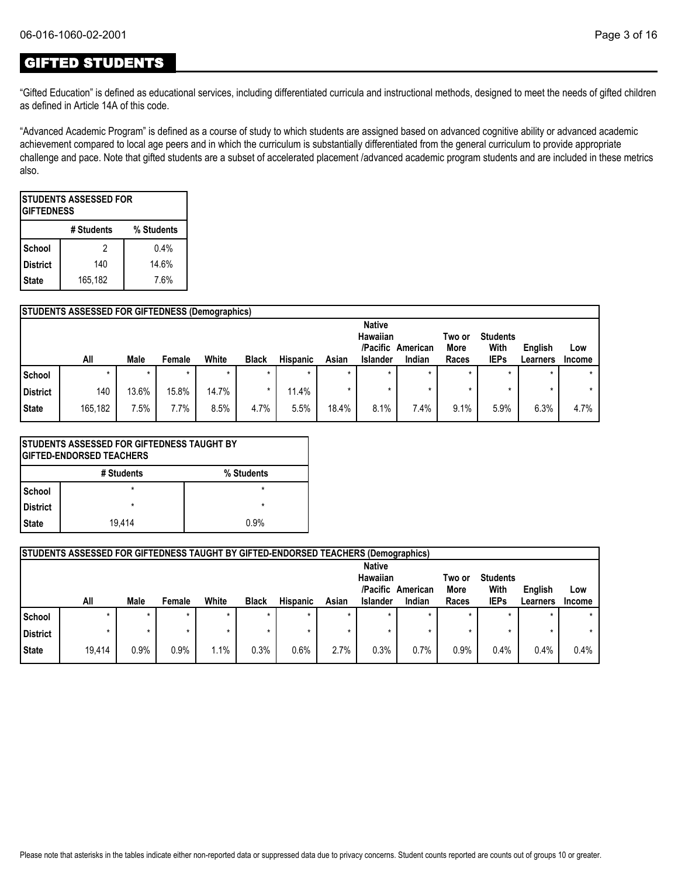## GIFTED STUDENTS

"Gifted Education" is defined as educational services, including differentiated curricula and instructional methods, designed to meet the needs of gifted children as defined in Article 14A of this code.

"Advanced Academic Program" is defined as a course of study to which students are assigned based on advanced cognitive ability or advanced academic achievement compared to local age peers and in which the curriculum is substantially differentiated from the general curriculum to provide appropriate challenge and pace. Note that gifted students are a subset of accelerated placement /advanced academic program students and are included in these metrics also.

| ISTUDENTS ASSESSED FOR<br><b>GIFTEDNESS</b> |         |       |  |  |  |  |  |  |  |
|---------------------------------------------|---------|-------|--|--|--|--|--|--|--|
| # Students<br>% Students                    |         |       |  |  |  |  |  |  |  |
| School                                      | 2       | 0.4%  |  |  |  |  |  |  |  |
| <b>District</b>                             | 140     | 14.6% |  |  |  |  |  |  |  |
| <b>State</b>                                | 165,182 | 7.6%  |  |  |  |  |  |  |  |

|               | <b>STUDENTS ASSESSED FOR GIFTEDNESS (Demographics)</b> |         |        |       |              |                 |         |                 |          |             |                 |          |               |
|---------------|--------------------------------------------------------|---------|--------|-------|--------------|-----------------|---------|-----------------|----------|-------------|-----------------|----------|---------------|
|               |                                                        |         |        |       |              |                 |         | <b>Native</b>   |          |             |                 |          |               |
|               |                                                        |         |        |       |              |                 |         | Hawaiian        |          | Two or      | <b>Students</b> |          |               |
|               |                                                        |         |        |       |              |                 |         | /Pacific        | American | <b>More</b> | With            | English  | Low           |
|               | All                                                    | Male    | Female | White | <b>Black</b> | <b>Hispanic</b> | Asian   | <b>Islander</b> | Indian   | Races       | <b>IEPs</b>     | Learners | <b>Income</b> |
| <b>School</b> |                                                        | $\star$ |        |       | $\star$      | $\star$         | $\star$ |                 |          | $\star$     | $\star$         |          | $\star$       |
| District      | 140                                                    | 13.6%   | 15.8%  | 14.7% | *            | 11.4%           | $\star$ |                 |          | $\star$     |                 |          | $\star$       |
| State         | 165,182                                                | 7.5%    | 7.7%   | 8.5%  | 4.7%         | 5.5%            | 18.4%   | 8.1%            | 7.4%     | 9.1%        | 5.9%            | 6.3%     | 4.7%          |

|                          | ISTUDENTS ASSESSED FOR GIFTEDNESS TAUGHT BY<br><b>IGIFTED-ENDORSED TEACHERS</b> |         |  |  |  |  |  |  |
|--------------------------|---------------------------------------------------------------------------------|---------|--|--|--|--|--|--|
| # Students<br>% Students |                                                                                 |         |  |  |  |  |  |  |
| <b>School</b>            | $\star$                                                                         | $\star$ |  |  |  |  |  |  |
| l District               | $\star$                                                                         | $\star$ |  |  |  |  |  |  |
| <b>State</b>             | 19.414                                                                          | 0.9%    |  |  |  |  |  |  |

|          | <b>STUDENTS ASSESSED FOR GIFTEDNESS TAUGHT BY GIFTED-ENDORSED TEACHERS (Demographics)</b> |          |        |       |              |                 |       |                                                   |                    |                         |                                        |                     |                      |
|----------|-------------------------------------------------------------------------------------------|----------|--------|-------|--------------|-----------------|-------|---------------------------------------------------|--------------------|-------------------------|----------------------------------------|---------------------|----------------------|
|          | All                                                                                       | Male     | Female | White | <b>Black</b> | <b>Hispanic</b> | Asian | <b>Native</b><br>Hawaiian<br>/Pacific<br>Islander | American<br>Indian | Two or<br>More<br>Races | <b>Students</b><br>With<br><b>IEPs</b> | English<br>Learners | Low<br><b>Income</b> |
| School   |                                                                                           | $\star$  |        |       | $\star$      |                 |       |                                                   |                    |                         | $\star$                                |                     |                      |
| District |                                                                                           | $^\star$ |        |       | ÷            |                 |       |                                                   |                    |                         | $\star$                                |                     |                      |
| l State  | 19.414                                                                                    | 0.9%     | 0.9%   | 1.1%  | 0.3%         | 0.6%            | 2.7%  | $0.3\%$                                           | 0.7%               | 0.9%                    | 0.4%                                   | 0.4%                | 0.4%                 |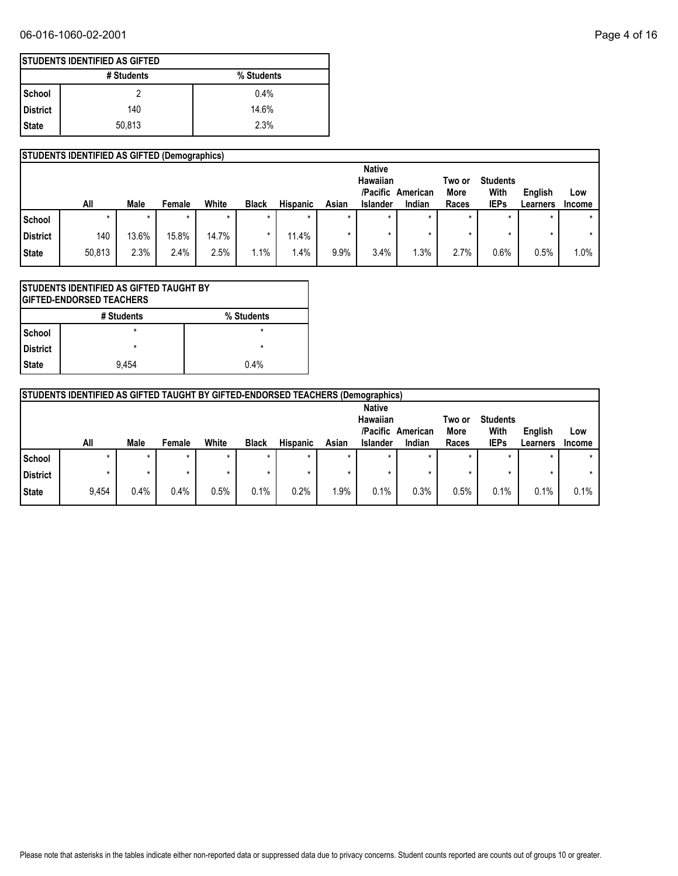### 06-016-1060-02-2001 Page 4 of 16

|            | <b>STUDENTS IDENTIFIED AS GIFTED</b> |            |  |  |  |  |  |  |  |  |
|------------|--------------------------------------|------------|--|--|--|--|--|--|--|--|
|            | # Students                           | % Students |  |  |  |  |  |  |  |  |
| School     |                                      | $0.4\%$    |  |  |  |  |  |  |  |  |
| l District | 140                                  | 14.6%      |  |  |  |  |  |  |  |  |
| l State    | 50,813                               | 2.3%       |  |  |  |  |  |  |  |  |

|                 | <b>STUDENTS IDENTIFIED AS GIFTED (Demographics)</b> |             |         |       |              |                 |         |                      |          |                |                         |          |               |
|-----------------|-----------------------------------------------------|-------------|---------|-------|--------------|-----------------|---------|----------------------|----------|----------------|-------------------------|----------|---------------|
|                 |                                                     |             |         |       |              |                 |         | <b>Native</b>        |          |                |                         |          |               |
|                 |                                                     |             |         |       |              |                 |         | Hawaiian<br>/Pacific | American | Two or<br>More | <b>Students</b><br>With | English  | Low           |
|                 | All                                                 | <b>Male</b> | Female  | White | <b>Black</b> | <b>Hispanic</b> | Asian   | Islander             | Indian   | Races          | <b>IEPs</b>             | Learners | <b>Income</b> |
| School          | ÷                                                   | $\star$     | $\star$ | *     | $\star$      | ÷               | $\star$ | $\star$              | $\star$  | $\star$        | ÷                       | $\star$  | $\star$       |
| <b>District</b> | 140                                                 | 13.6%       | 15.8%   | 14.7% | *            | 11.4%           |         |                      |          | *              |                         |          | $\star$       |
| <b>State</b>    | 50,813                                              | 2.3%        | 2.4%    | 2.5%  | $1.1\%$      | .4%             | 9.9%    | 3.4%                 | 1.3%     | 2.7%           | 0.6%                    | 0.5%     | $1.0\%$       |

|                          | <b>STUDENTS IDENTIFIED AS GIFTED TAUGHT BY</b><br><b>GIFTED-ENDORSED TEACHERS</b> |      |  |  |  |  |  |  |  |
|--------------------------|-----------------------------------------------------------------------------------|------|--|--|--|--|--|--|--|
| # Students<br>% Students |                                                                                   |      |  |  |  |  |  |  |  |
| l School                 | $\star$                                                                           |      |  |  |  |  |  |  |  |
| l District               | ÷                                                                                 | ÷    |  |  |  |  |  |  |  |
| l State                  | 9.454                                                                             | 0.4% |  |  |  |  |  |  |  |

|          | <b>STUDENTS IDENTIFIED AS GIFTED TAUGHT BY GIFTED-ENDORSED TEACHERS (Demographics)</b>                           |         |         |         |              |                 |         |                 |        |       |             |          |               |
|----------|------------------------------------------------------------------------------------------------------------------|---------|---------|---------|--------------|-----------------|---------|-----------------|--------|-------|-------------|----------|---------------|
|          | <b>Native</b><br>Hawaiian<br><b>Students</b><br>Two or<br>/Pacific<br>With<br>More<br>English<br>American<br>Low |         |         |         |              |                 |         |                 |        |       |             |          |               |
|          | All                                                                                                              | Male    | Female  | White   | <b>Black</b> | <b>Hispanic</b> | Asian   | <b>Islander</b> | Indian | Races | <b>IEPs</b> | Learners | <b>Income</b> |
| School   | $\star$                                                                                                          | $\star$ | $\star$ | $\star$ | $\star$      |                 | $\star$ | $\star$         |        |       | $\star$     |          |               |
| District |                                                                                                                  |         |         | $\star$ | ÷            |                 |         |                 |        |       |             |          |               |
| State    | 9,454                                                                                                            | 0.4%    | 0.4%    | 0.5%    | 0.1%         | 0.2%            | $1.9\%$ | 0.1%            | 0.3%   | 0.5%  | 0.1%        | 0.1%     | 0.1%          |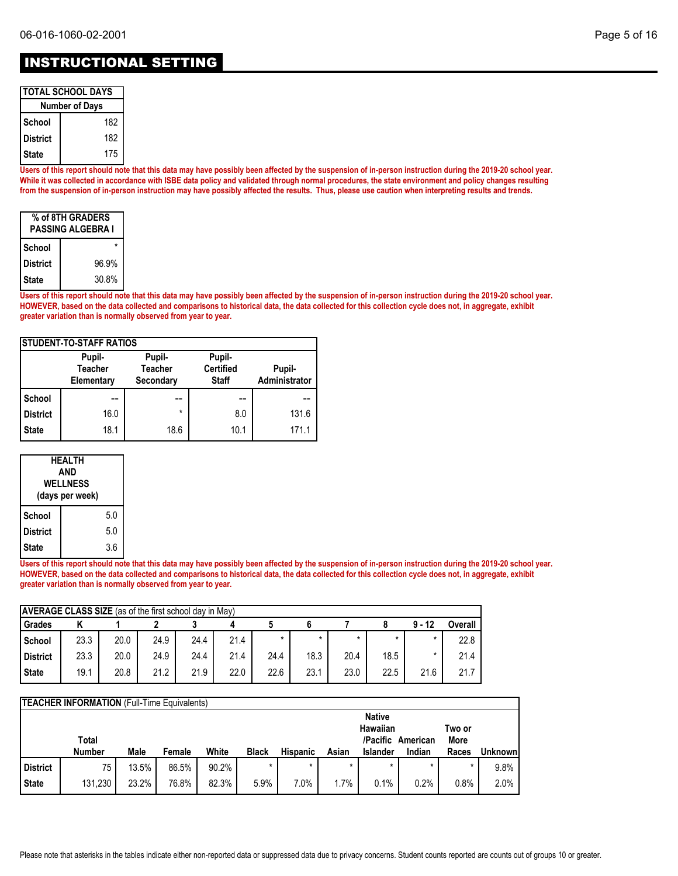# INSTRUCTIONAL SETTING

| <b>TOTAL SCHOOL DAYS</b> |     |  |  |  |  |  |  |
|--------------------------|-----|--|--|--|--|--|--|
| <b>Number of Days</b>    |     |  |  |  |  |  |  |
| School                   | 182 |  |  |  |  |  |  |
| District                 | 182 |  |  |  |  |  |  |
| l State                  | 175 |  |  |  |  |  |  |

**Users of this report should note that this data may have possibly been affected by the suspension of in-person instruction during the 2019-20 school year. While it was collected in accordance with ISBE data policy and validated through normal procedures, the state environment and policy changes resulting from the suspension of in-person instruction may have possibly affected the results. Thus, please use caution when interpreting results and trends.**

| % of 8TH GRADERS<br>PASSING ALGEBRA I |       |  |  |  |  |  |  |
|---------------------------------------|-------|--|--|--|--|--|--|
| School                                |       |  |  |  |  |  |  |
| <b>District</b>                       | 96.9% |  |  |  |  |  |  |
| State                                 | 30.8% |  |  |  |  |  |  |

**Users of this report should note that this data may have possibly been affected by the suspension of in-person instruction during the 2019-20 school year. HOWEVER, based on the data collected and comparisons to historical data, the data collected for this collection cycle does not, in aggregate, exhibit greater variation than is normally observed from year to year.**

| <b>STUDENT-TO-STAFF RATIOS</b> |                                        |                                       |                                            |                         |  |  |  |  |  |  |
|--------------------------------|----------------------------------------|---------------------------------------|--------------------------------------------|-------------------------|--|--|--|--|--|--|
|                                | Pupil-<br><b>Teacher</b><br>Elementary | Pupil-<br><b>Teacher</b><br>Secondary | Pupil-<br><b>Certified</b><br><b>Staff</b> | Pupil-<br>Administrator |  |  |  |  |  |  |
| School                         | --                                     |                                       |                                            |                         |  |  |  |  |  |  |
| <b>District</b>                | 16.0                                   | *                                     | 8.0                                        | 131.6                   |  |  |  |  |  |  |
| <b>State</b>                   | 18.1                                   | 18.6                                  | 10.1                                       | 171.1                   |  |  |  |  |  |  |

| <b>HEALTH</b><br>AND<br><b>WELLNESS</b><br>(days per week) |     |  |  |  |  |
|------------------------------------------------------------|-----|--|--|--|--|
| School                                                     | 5.0 |  |  |  |  |
| <b>District</b>                                            | 5.0 |  |  |  |  |
| State                                                      | 3.6 |  |  |  |  |

**Users of this report should note that this data may have possibly been affected by the suspension of in-person instruction during the 2019-20 school year. HOWEVER, based on the data collected and comparisons to historical data, the data collected for this collection cycle does not, in aggregate, exhibit greater variation than is normally observed from year to year.**

| <b>AVERAGE CLASS SIZE</b> (as of the first school day in May) |      |      |      |      |      |         |         |         |      |          |         |  |
|---------------------------------------------------------------|------|------|------|------|------|---------|---------|---------|------|----------|---------|--|
| Grades                                                        |      |      |      |      |      |         |         |         |      | $9 - 12$ | Overall |  |
| School                                                        | 23.3 | 20.0 | 24.9 | 24.4 | 21.4 | $\star$ | $\star$ | $\star$ |      |          | 22.8    |  |
| <b>District</b>                                               | 23.3 | 20.0 | 24.9 | 24.4 | 21.4 | 24.4    | 18.3    | 20.4    | 18.5 |          | 21.4    |  |
| <b>State</b>                                                  | 19.1 | 20.8 | 21.2 | 21.9 | 22.0 | 22.6    | 23.1    | 23.0    | 22.5 | 21.6     | 21.7    |  |

|          | <b>TEACHER INFORMATION (Full-Time Equivalents)</b> |       |        |       |              |                 |         |                 |                   |        |          |  |
|----------|----------------------------------------------------|-------|--------|-------|--------------|-----------------|---------|-----------------|-------------------|--------|----------|--|
|          |                                                    |       |        |       |              |                 |         | <b>Native</b>   |                   |        |          |  |
|          |                                                    |       |        |       |              |                 |         | Hawaiian        |                   | Two or |          |  |
|          | Total                                              |       |        |       |              |                 |         |                 | /Pacific American | More   |          |  |
|          | <b>Number</b>                                      | Male  | Female | White | <b>Black</b> | <b>Hispanic</b> | Asian   | <b>Islander</b> | Indian            | Races  | Unknownl |  |
| District | 75                                                 | 13.5% | 86.5%  | 90.2% |              | $\star$         | $\star$ | $\star$         |                   |        | 9.8%     |  |
| State    | 131,230                                            | 23.2% | 76.8%  | 82.3% | 5.9%         | 7.0%            | 1.7%    | 0.1%            | 0.2%              | 0.8%   | 2.0%     |  |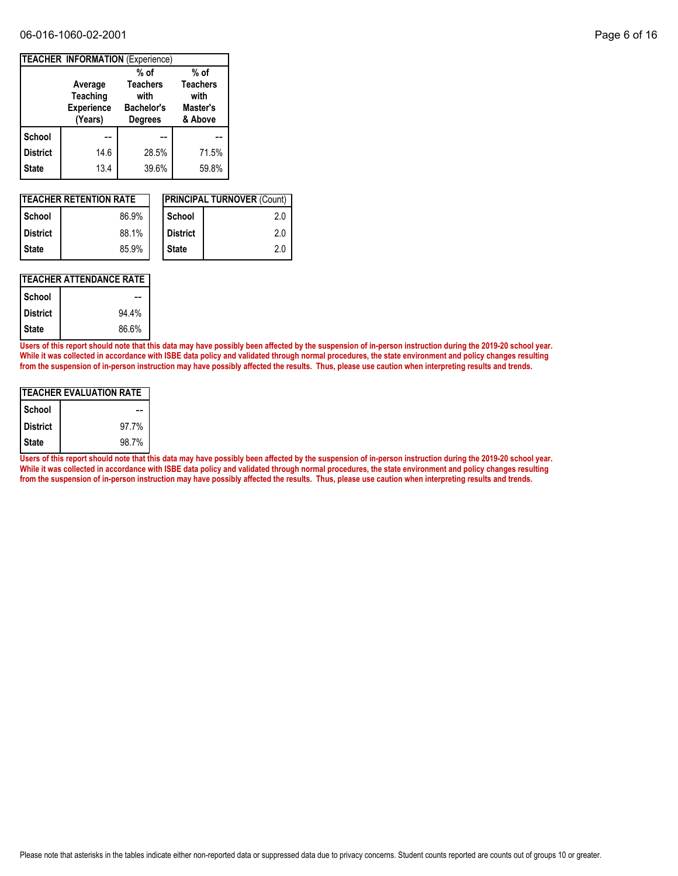#### 06-016-1060-02-2001 Page 6 of 16

|                 |                                                            | <b>TEACHER INFORMATION (Experience)</b>                        |                                                |
|-----------------|------------------------------------------------------------|----------------------------------------------------------------|------------------------------------------------|
|                 |                                                            | $%$ of                                                         | $%$ of                                         |
|                 | Average<br><b>Teaching</b><br><b>Experience</b><br>(Years) | <b>Teachers</b><br>with<br><b>Bachelor's</b><br><b>Degrees</b> | <b>Teachers</b><br>with<br>Master's<br>& Above |
| School          |                                                            |                                                                |                                                |
| <b>District</b> | 14.6                                                       | 28.5%                                                          | 71.5%                                          |
| <b>State</b>    | 13.4                                                       | 39.6%                                                          | 59.8%                                          |

|                 | <b>ITEACHER RETENTION RATE</b> |                 | <b>IPRINCIPAL TURNOVER (Count)</b> |
|-----------------|--------------------------------|-----------------|------------------------------------|
| l School        | 86.9%                          | School          | 2.0                                |
| <b>District</b> | 88.1%                          | <b>District</b> | 2.0                                |
| l State         | 85.9%                          | <b>State</b>    | 2.0                                |

### **TEACHER ATTENDANCE RATE**

| School          |       |
|-----------------|-------|
| <b>District</b> | 94.4% |
| <b>State</b>    | 86.6% |

**Users of this report should note that this data may have possibly been affected by the suspension of in-person instruction during the 2019-20 school year. While it was collected in accordance with ISBE data policy and validated through normal procedures, the state environment and policy changes resulting from the suspension of in-person instruction may have possibly affected the results. Thus, please use caution when interpreting results and trends.**

| ITEACHER EVALUATION RATE |       |  |  |  |  |  |  |  |
|--------------------------|-------|--|--|--|--|--|--|--|
| School                   |       |  |  |  |  |  |  |  |
| <b>District</b>          | 97.7% |  |  |  |  |  |  |  |
| State                    | 98.7% |  |  |  |  |  |  |  |

**Users of this report should note that this data may have possibly been affected by the suspension of in-person instruction during the 2019-20 school year. While it was collected in accordance with ISBE data policy and validated through normal procedures, the state environment and policy changes resulting from the suspension of in-person instruction may have possibly affected the results. Thus, please use caution when interpreting results and trends.**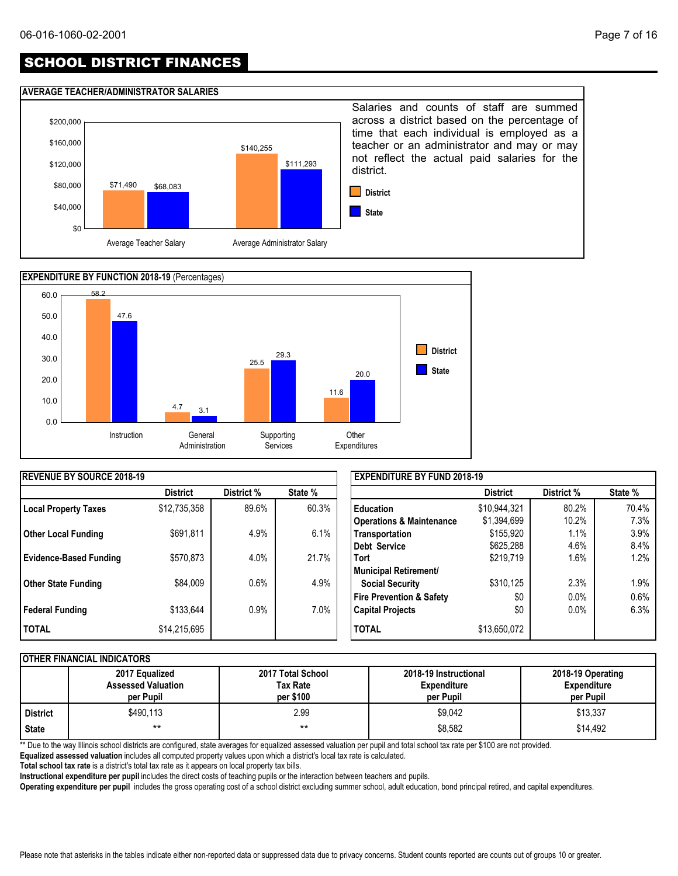# SCHOOL DISTRICT FINANCES

#### **AVERAGE TEACHER/ADMINISTRATOR SALARIES**





| <b>REVENUE BY SOURCE 2018-19</b> |                 |            | <b>EXPENDITURE BY FUND 2018-19</b> |                                     |                 |            |         |  |
|----------------------------------|-----------------|------------|------------------------------------|-------------------------------------|-----------------|------------|---------|--|
|                                  | <b>District</b> | District % | State %                            |                                     | <b>District</b> | District % | State % |  |
| Local Property Taxes             | \$12,735,358    | 89.6%      | 60.3%                              | <b>Education</b>                    | \$10,944,321    | 80.2%      | 70.4%   |  |
|                                  |                 |            |                                    | <b>Operations &amp; Maintenance</b> | \$1,394,699     | 10.2%      | 7.3%    |  |
| <b>Other Local Funding</b>       | \$691,811       | 4.9%       | 6.1%                               | <b>Transportation</b>               | \$155,920       | 1.1%       | 3.9%    |  |
|                                  |                 |            |                                    | Debt Service                        | \$625,288       | 4.6%       | 8.4%    |  |
| <b>Evidence-Based Funding</b>    | \$570,873       | 4.0%       | 21.7%                              | <b>Tort</b>                         | \$219,719       | $1.6\%$    | 1.2%    |  |
|                                  |                 |            |                                    | Municipal Retirement/               |                 |            |         |  |
| <b>Other State Funding</b>       | \$84,009        | 0.6%       | 4.9%                               | <b>Social Security</b>              | \$310,125       | 2.3%       | 1.9%    |  |
|                                  |                 |            |                                    | <b>Fire Prevention &amp; Safety</b> | \$0             | 0.0%       | 0.6%    |  |
| Federal Funding                  | \$133,644       | 0.9%       | $7.0\%$                            | <b>Capital Projects</b>             | \$0             | 0.0%       | 6.3%    |  |
| <b>TOTAL</b>                     | \$14,215,695    |            |                                    | <b>TOTAL</b>                        | \$13,650,072    |            |         |  |

#### **OTHER FINANCIAL INDICATORS**

|                 | 2017 Equalized<br><b>Assessed Valuation</b><br>per Pupil | 2017 Total School<br>Tax Rate<br>per \$100 | 2018-19 Instructional<br><b>Expenditure</b><br>per Pupil | 2018-19 Operating<br><b>Expenditure</b><br>per Pupil |
|-----------------|----------------------------------------------------------|--------------------------------------------|----------------------------------------------------------|------------------------------------------------------|
| <b>District</b> | \$490,113                                                | 2.99                                       | \$9.042                                                  | \$13,337                                             |
| <b>State</b>    | $***$                                                    | $***$                                      | \$8,582                                                  | \$14,492                                             |

\*\* Due to the way Illinois school districts are configured, state averages for equalized assessed valuation per pupil and total school tax rate per \$100 are not provided.

**Equalized assessed valuation** includes all computed property values upon which a district's local tax rate is calculated.

**Total school tax rate** is a district's total tax rate as it appears on local property tax bills.

**Instructional expenditure per pupil** includes the direct costs of teaching pupils or the interaction between teachers and pupils.

**Operating expenditure per pupil** includes the gross operating cost of a school district excluding summer school, adult education, bond principal retired, and capital expenditures.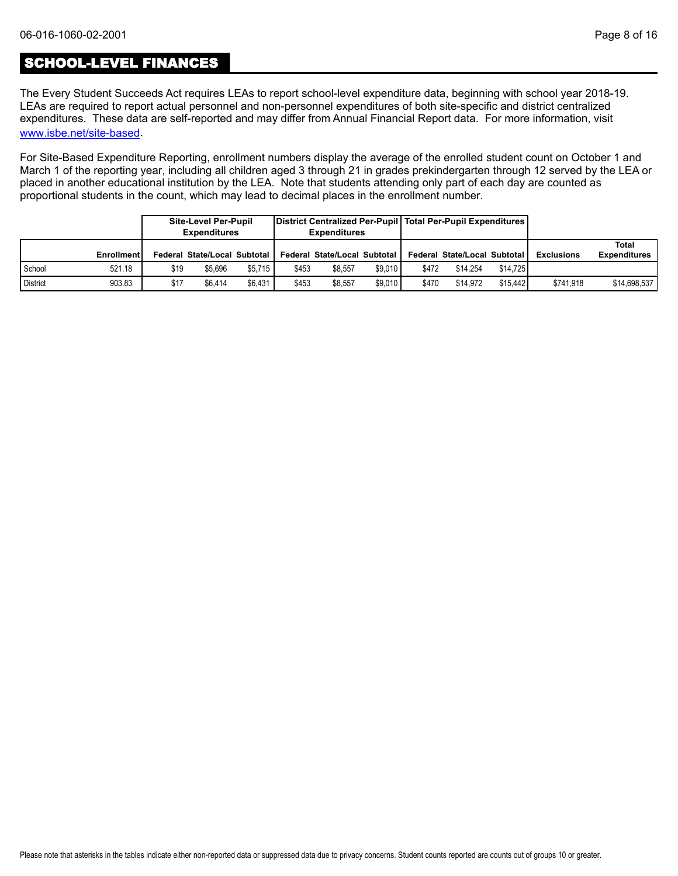## SCHOOL-LEVEL FINANCES

[www.isbe.net/site-based](https://www.isbe.net/site-based). The Every Student Succeeds Act requires LEAs to report school-level expenditure data, beginning with school year 2018-19. LEAs are required to report actual personnel and non-personnel expenditures of both site-specific and district centralized expenditures. These data are self-reported and may differ from Annual Financial Report data. For more information, visit

For Site-Based Expenditure Reporting, enrollment numbers display the average of the enrolled student count on October 1 and March 1 of the reporting year, including all children aged 3 through 21 in grades prekindergarten through 12 served by the LEA or placed in another educational institution by the LEA. Note that students attending only part of each day are counted as proportional students in the count, which may lead to decimal places in the enrollment number.

|                 |                   |      | <b>Site-Level Per-Pupil</b><br><b>Expenditures</b> |         | District Centralized Per-Pupil   Total Per-Pupil Expenditures  <br><b>Expenditures</b> |                              |         |       |                              |          |                   |                              |
|-----------------|-------------------|------|----------------------------------------------------|---------|----------------------------------------------------------------------------------------|------------------------------|---------|-------|------------------------------|----------|-------------------|------------------------------|
|                 | <b>Enrollment</b> |      | Federal State/Local Subtotal I                     |         |                                                                                        | Federal State/Local Subtotal |         |       | Federal State/Local Subtotal |          | <b>Exclusions</b> | Total<br><b>Expenditures</b> |
| School          | 521.18            | \$19 | \$5.696                                            | \$5.715 | \$453                                                                                  | \$8.557                      | \$9.010 | \$472 | \$14.254                     | \$14.725 |                   |                              |
| <b>District</b> | 903.83            | \$17 | \$6.414                                            | \$6.431 | \$453                                                                                  | \$8.557                      | \$9.010 | \$470 | \$14.972                     | \$15.442 | \$741.918         | \$14,698,537                 |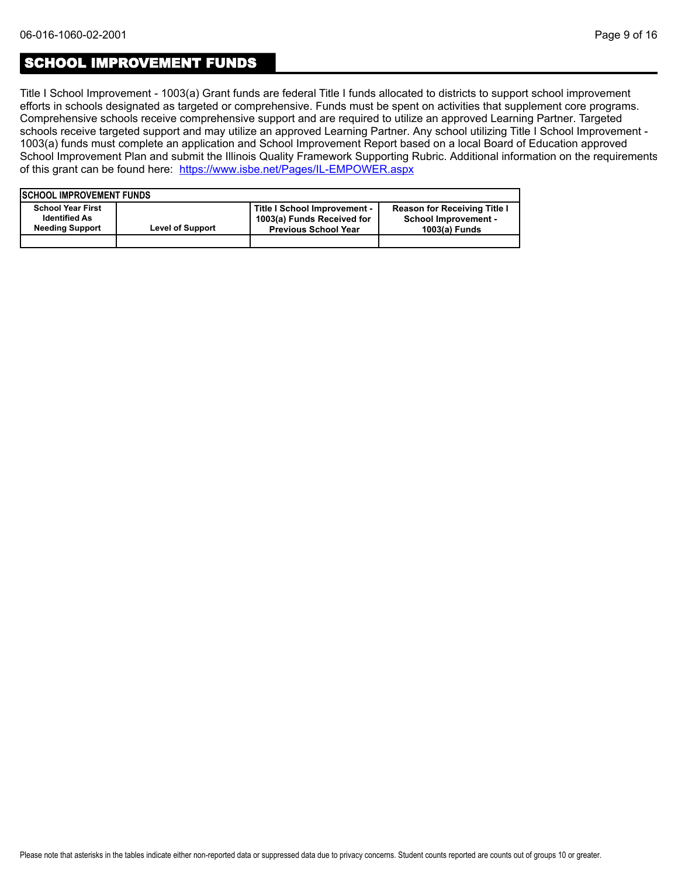### SCHOOL IMPROVEMENT FUNDS

Title I School Improvement - 1003(a) Grant funds are federal Title I funds allocated to districts to support school improvement efforts in schools designated as targeted or comprehensive. Funds must be spent on activities that supplement core programs. Comprehensive schools receive comprehensive support and are required to utilize an approved Learning Partner. Targeted schools receive targeted support and may utilize an approved Learning Partner. Any school utilizing Title I School Improvement - 1003(a) funds must complete an application and School Improvement Report based on a local Board of Education approved School Improvement Plan and submit the Illinois Quality Framework Supporting Rubric. Additional information on the requirements of this grant can be found here:<https://www.isbe.net/Pages/IL-EMPOWER.aspx>

| <b>ISCHOOL IMPROVEMENT FUNDS</b>                                           |                         |                                                                                           |                                                                                     |
|----------------------------------------------------------------------------|-------------------------|-------------------------------------------------------------------------------------------|-------------------------------------------------------------------------------------|
| <b>School Year First</b><br><b>Identified As</b><br><b>Needing Support</b> | <b>Level of Support</b> | Title I School Improvement -<br>1003(a) Funds Received for<br><b>Previous School Year</b> | <b>Reason for Receiving Title I</b><br><b>School Improvement -</b><br>1003(a) Funds |
|                                                                            |                         |                                                                                           |                                                                                     |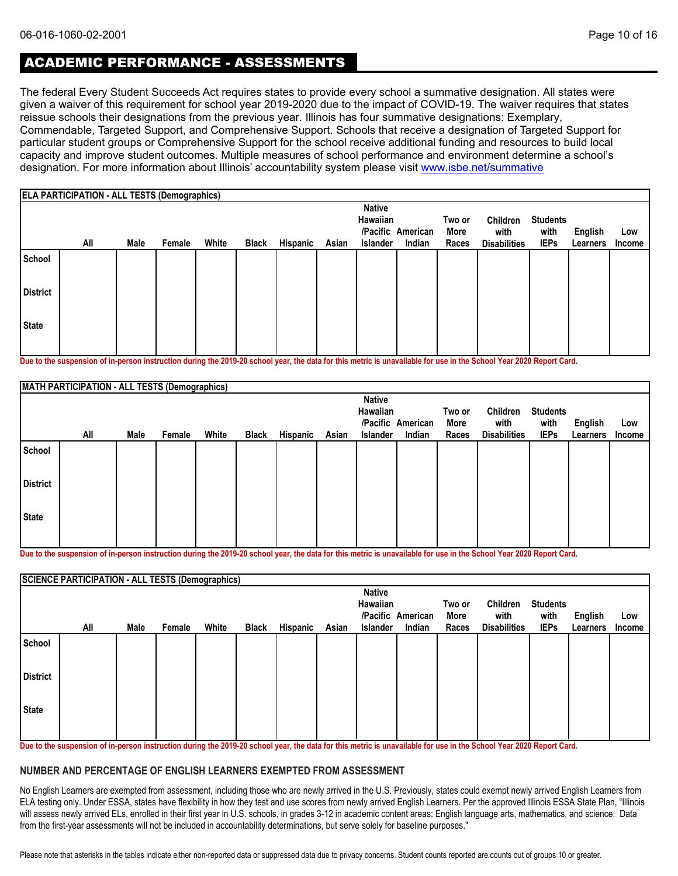## ACADEMIC PERFORMANCE - ASSESSMENTS

The federal Every Student Succeeds Act requires states to provide every school a summative designation. All states were given a waiver of this requirement for school year 2019-2020 due to the impact of COVID-19. The waiver requires that states reissue schools their designations from the previous year. Illinois has four summative designations: Exemplary, Commendable, Targeted Support, and Comprehensive Support. Schools that receive a designation of Targeted Support for particular student groups or Comprehensive Support for the school receive additional funding and resources to build local capacity and improve student outcomes. Multiple measures of school performance and environment determine a school's designation. For more information about Illinois' accountability system please visit [www.isbe.net/summative](http://www.isbe.net/summative)

|                 | <b>ELA PARTICIPATION - ALL TESTS (Demographics)</b> |      |        |       |              |          |       |                                       |                             |                         |                                         |                                        |                     |                      |
|-----------------|-----------------------------------------------------|------|--------|-------|--------------|----------|-------|---------------------------------------|-----------------------------|-------------------------|-----------------------------------------|----------------------------------------|---------------------|----------------------|
|                 | All                                                 | Male | Female | White | <b>Black</b> | Hispanic | Asian | <b>Native</b><br>Hawaiian<br>Islander | /Pacific American<br>Indian | Two or<br>More<br>Races | Children<br>with<br><b>Disabilities</b> | <b>Students</b><br>with<br><b>IEPs</b> | English<br>Learners | Low<br><b>Income</b> |
| School          |                                                     |      |        |       |              |          |       |                                       |                             |                         |                                         |                                        |                     |                      |
| <b>District</b> |                                                     |      |        |       |              |          |       |                                       |                             |                         |                                         |                                        |                     |                      |
| <b>State</b>    |                                                     |      |        |       |              |          |       |                                       |                             |                         |                                         |                                        |                     |                      |

**Due to the suspension of in-person instruction during the 2019-20 school year, the data for this metric is unavailable for use in the School Year 2020 Report Card.**

|                 | MATH PARTICIPATION - ALL TESTS (Demographics) |      |        |       |              |          |       |                           |                   |        |                     |                 |          |        |
|-----------------|-----------------------------------------------|------|--------|-------|--------------|----------|-------|---------------------------|-------------------|--------|---------------------|-----------------|----------|--------|
|                 |                                               |      |        |       |              |          |       | <b>Native</b><br>Hawaiian |                   | Two or | Children            | <b>Students</b> |          |        |
|                 |                                               |      |        |       |              |          |       |                           | /Pacific American | More   | with                | with            | English  | Low    |
|                 | All                                           | Male | Female | White | <b>Black</b> | Hispanic | Asian | Islander                  | Indian            | Races  | <b>Disabilities</b> | <b>IEPs</b>     | Learners | Income |
| School          |                                               |      |        |       |              |          |       |                           |                   |        |                     |                 |          |        |
| <b>District</b> |                                               |      |        |       |              |          |       |                           |                   |        |                     |                 |          |        |
| State           |                                               |      |        |       |              |          |       |                           |                   |        |                     |                 |          |        |
|                 |                                               |      |        |       |              |          |       |                           |                   |        |                     |                 |          |        |

**Due to the suspension of in-person instruction during the 2019-20 school year, the data for this metric is unavailable for use in the School Year 2020 Report Card.**

|                 | <b>SCIENCE PARTICIPATION - ALL TESTS (Demographics)</b> |      |        |       |              |          |       |                           |                   |        |                     |                 |          |        |
|-----------------|---------------------------------------------------------|------|--------|-------|--------------|----------|-------|---------------------------|-------------------|--------|---------------------|-----------------|----------|--------|
|                 |                                                         |      |        |       |              |          |       | <b>Native</b><br>Hawaiian |                   | Two or | Children            | <b>Students</b> |          |        |
|                 |                                                         |      |        |       |              |          |       |                           | /Pacific American | More   | with                | with            | English  | Low    |
|                 | All                                                     | Male | Female | White | <b>Black</b> | Hispanic | Asian | <b>Islander</b>           | Indian            | Races  | <b>Disabilities</b> | <b>IEPs</b>     | Learners | Income |
| School          |                                                         |      |        |       |              |          |       |                           |                   |        |                     |                 |          |        |
| <b>District</b> |                                                         |      |        |       |              |          |       |                           |                   |        |                     |                 |          |        |
| <b>State</b>    |                                                         |      |        |       |              |          |       |                           |                   |        |                     |                 |          |        |
|                 |                                                         |      |        |       |              |          |       |                           |                   |        |                     |                 |          |        |

**Due to the suspension of in-person instruction during the 2019-20 school year, the data for this metric is unavailable for use in the School Year 2020 Report Card.**

#### **NUMBER AND PERCENTAGE OF ENGLISH LEARNERS EXEMPTED FROM ASSESSMENT**

No English Learners are exempted from assessment, including those who are newly arrived in the U.S. Previously, states could exempt newly arrived English Learners from ELA testing only. Under ESSA, states have flexibility in how they test and use scores from newly arrived English Learners. Per the approved Illinois ESSA State Plan, "Illinois will assess newly arrived ELs, enrolled in their first year in U.S. schools, in grades 3-12 in academic content areas: English language arts, mathematics, and science. Data from the first-year assessments will not be included in accountability determinations, but serve solely for baseline purposes."

Please note that asterisks in the tables indicate either non-reported data or suppressed data due to privacy concerns. Student counts reported are counts out of groups 10 or greater.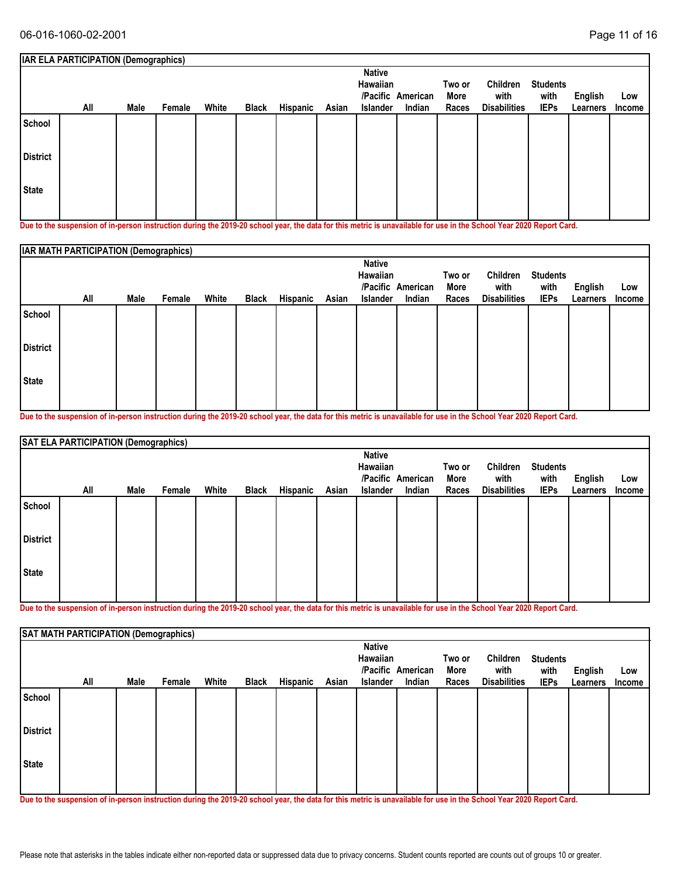|                 | <b>IAR ELA PARTICIPATION (Demographics)</b>                                                                                                               |      |        |       |              |          |       |                                              |                             |                         |                                         |                                        |                     |                      |
|-----------------|-----------------------------------------------------------------------------------------------------------------------------------------------------------|------|--------|-------|--------------|----------|-------|----------------------------------------------|-----------------------------|-------------------------|-----------------------------------------|----------------------------------------|---------------------|----------------------|
|                 | All                                                                                                                                                       | Male | Female | White | <b>Black</b> | Hispanic | Asian | <b>Native</b><br>Hawaiian<br><b>Islander</b> | /Pacific American<br>Indian | Two or<br>More<br>Races | Children<br>with<br><b>Disabilities</b> | <b>Students</b><br>with<br><b>IEPs</b> | English<br>Learners | Low<br><b>Income</b> |
| School          |                                                                                                                                                           |      |        |       |              |          |       |                                              |                             |                         |                                         |                                        |                     |                      |
| <b>District</b> |                                                                                                                                                           |      |        |       |              |          |       |                                              |                             |                         |                                         |                                        |                     |                      |
| State           |                                                                                                                                                           |      |        |       |              |          |       |                                              |                             |                         |                                         |                                        |                     |                      |
|                 | Bur to the comparation of the comparational contraction AAA AA subset once the shift facility in contractional factor to the Ochecl Vene AAAA Benedi Anal |      |        |       |              |          |       |                                              |                             |                         |                                         |                                        |                     |                      |

|                 | <b>IAR MATH PARTICIPATION (Demographics)</b> |      |        |       |              |          |       |                                       |                             |                         |                                         |                                        |                            |               |
|-----------------|----------------------------------------------|------|--------|-------|--------------|----------|-------|---------------------------------------|-----------------------------|-------------------------|-----------------------------------------|----------------------------------------|----------------------------|---------------|
|                 | All                                          | Male | Female | White | <b>Black</b> | Hispanic | Asian | <b>Native</b><br>Hawaiian<br>Islander | /Pacific American<br>Indian | Two or<br>More<br>Races | Children<br>with<br><b>Disabilities</b> | <b>Students</b><br>with<br><b>IEPs</b> | <b>English</b><br>Learners | Low<br>Income |
| School          |                                              |      |        |       |              |          |       |                                       |                             |                         |                                         |                                        |                            |               |
| <b>District</b> |                                              |      |        |       |              |          |       |                                       |                             |                         |                                         |                                        |                            |               |
| <b>State</b>    |                                              |      |        |       |              |          |       |                                       |                             |                         |                                         |                                        |                            |               |

**Due to the suspension of in-person instruction during the 2019-20 school year, the data for this metric is unavailable for use in the School Year 2020 Report Card.**

|                 |     |      | SAT ELA PARTICIPATION (Demographics) |       |       |          |       | <b>Native</b> |                   |        |                     |                 |          |        |
|-----------------|-----|------|--------------------------------------|-------|-------|----------|-------|---------------|-------------------|--------|---------------------|-----------------|----------|--------|
|                 |     |      |                                      |       |       |          |       | Hawaiian      |                   | Two or | Children            | <b>Students</b> |          |        |
|                 |     |      |                                      |       |       |          |       |               | /Pacific American | More   | with                | with            | English  | Low    |
|                 | All | Male | Female                               | White | Black | Hispanic | Asian | Islander      | Indian            | Races  | <b>Disabilities</b> | <b>IEPs</b>     | Learners | Income |
| School          |     |      |                                      |       |       |          |       |               |                   |        |                     |                 |          |        |
| <b>District</b> |     |      |                                      |       |       |          |       |               |                   |        |                     |                 |          |        |
| State           |     |      |                                      |       |       |          |       |               |                   |        |                     |                 |          |        |

**Due to the suspension of in-person instruction during the 2019-20 school year, the data for this metric is unavailable for use in the School Year 2020 Report Card.**

|                 | SAT MATH PARTICIPATION (Demographics) |      |        |       |              |          |       |                                       |                             |                         |                                         |                                        |                     |               |
|-----------------|---------------------------------------|------|--------|-------|--------------|----------|-------|---------------------------------------|-----------------------------|-------------------------|-----------------------------------------|----------------------------------------|---------------------|---------------|
|                 | All                                   | Male | Female | White | <b>Black</b> | Hispanic | Asian | <b>Native</b><br>Hawaiian<br>Islander | /Pacific American<br>Indian | Two or<br>More<br>Races | Children<br>with<br><b>Disabilities</b> | <b>Students</b><br>with<br><b>IEPs</b> | English<br>Learners | Low<br>Income |
| School          |                                       |      |        |       |              |          |       |                                       |                             |                         |                                         |                                        |                     |               |
| <b>District</b> |                                       |      |        |       |              |          |       |                                       |                             |                         |                                         |                                        |                     |               |
| State           |                                       |      |        |       |              |          |       |                                       |                             |                         |                                         |                                        |                     |               |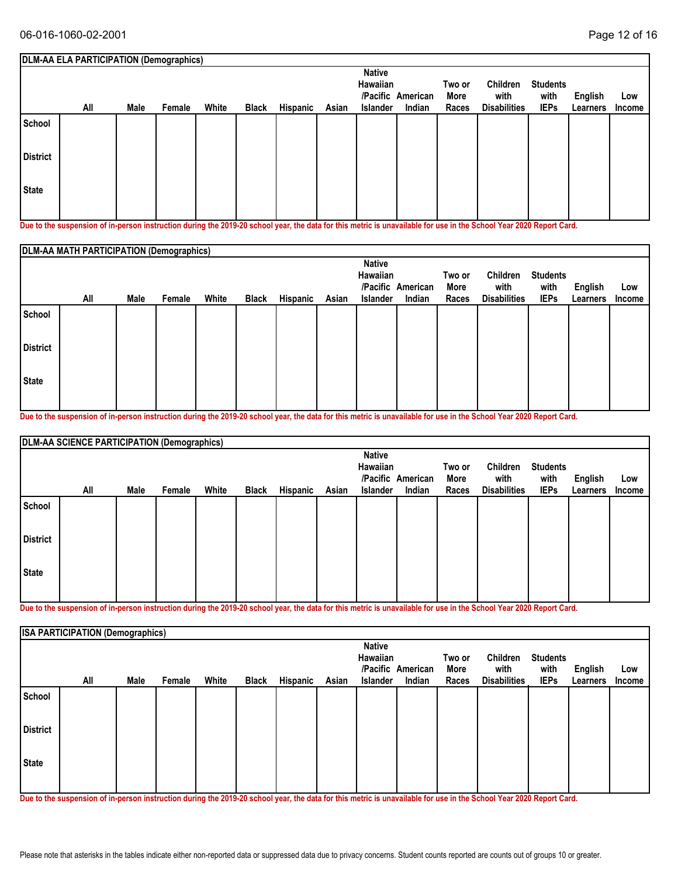|                 | DLM-AA ELA PARTICIPATION (Demographics)                                                                                                                    |      |        |       |              |          |       |                                              |                             |                         |                                         |                                        |                     |                      |
|-----------------|------------------------------------------------------------------------------------------------------------------------------------------------------------|------|--------|-------|--------------|----------|-------|----------------------------------------------|-----------------------------|-------------------------|-----------------------------------------|----------------------------------------|---------------------|----------------------|
|                 | All                                                                                                                                                        | Male | Female | White | <b>Black</b> | Hispanic | Asian | <b>Native</b><br>Hawaiian<br><b>Islander</b> | /Pacific American<br>Indian | Two or<br>More<br>Races | Children<br>with<br><b>Disabilities</b> | <b>Students</b><br>with<br><b>IEPs</b> | English<br>Learners | Low<br><b>Income</b> |
| School          |                                                                                                                                                            |      |        |       |              |          |       |                                              |                             |                         |                                         |                                        |                     |                      |
| <b>District</b> |                                                                                                                                                            |      |        |       |              |          |       |                                              |                             |                         |                                         |                                        |                     |                      |
| l State         |                                                                                                                                                            |      |        |       |              |          |       |                                              |                             |                         |                                         |                                        |                     |                      |
|                 | Dua ta tha ananantan af in naman inaturatiwa dimina tha 9040.90 aghaal wan tha data farthis matuja in manailahla farma in tha Cabaal Vaau 9090 Danaut Caud |      |        |       |              |          |       |                                              |                             |                         |                                         |                                        |                     |                      |

|                 | DLM-AA MATH PARTICIPATION (Demographics) |      |        |       |              |          |       |                                              |                             |                         |                                         |                                        |                                   |               |
|-----------------|------------------------------------------|------|--------|-------|--------------|----------|-------|----------------------------------------------|-----------------------------|-------------------------|-----------------------------------------|----------------------------------------|-----------------------------------|---------------|
|                 | All                                      | Male | Female | White | <b>Black</b> | Hispanic | Asian | <b>Native</b><br>Hawaiian<br><b>Islander</b> | /Pacific American<br>Indian | Two or<br>More<br>Races | Children<br>with<br><b>Disabilities</b> | <b>Students</b><br>with<br><b>IEPs</b> | <b>English</b><br><b>Learners</b> | Low<br>Income |
| School          |                                          |      |        |       |              |          |       |                                              |                             |                         |                                         |                                        |                                   |               |
| <b>District</b> |                                          |      |        |       |              |          |       |                                              |                             |                         |                                         |                                        |                                   |               |
| <b>State</b>    |                                          |      |        |       |              |          |       |                                              |                             |                         |                                         |                                        |                                   |               |

**Due to the suspension of in-person instruction during the 2019-20 school year, the data for this metric is unavailable for use in the School Year 2020 Report Card.**

|                 | <b>DLM-AA SCIENCE PARTICIPATION (Demographics)</b> |      |        |       |       |          |       |                           |                   |                |                     |                         |          |        |
|-----------------|----------------------------------------------------|------|--------|-------|-------|----------|-------|---------------------------|-------------------|----------------|---------------------|-------------------------|----------|--------|
|                 |                                                    |      |        |       |       |          |       | <b>Native</b><br>Hawaiian | /Pacific American | Two or<br>More | Children<br>with    | <b>Students</b><br>with | English  | Low    |
|                 | All                                                | Male | Female | White | Black | Hispanic | Asian | <b>Islander</b>           | Indian            | Races          | <b>Disabilities</b> | <b>IEPs</b>             | Learners | Income |
| School          |                                                    |      |        |       |       |          |       |                           |                   |                |                     |                         |          |        |
| <b>District</b> |                                                    |      |        |       |       |          |       |                           |                   |                |                     |                         |          |        |
| <b>State</b>    |                                                    |      |        |       |       |          |       |                           |                   |                |                     |                         |          |        |
|                 |                                                    |      |        |       |       |          |       |                           |                   |                |                     |                         |          |        |

**Due to the suspension of in-person instruction during the 2019-20 school year, the data for this metric is unavailable for use in the School Year 2020 Report Card.**

|                 | <b>ISA PARTICIPATION (Demographics)</b> |      |        |       |              |          |       |                                       |                             |                         |                                         |                                        |                     |                      |
|-----------------|-----------------------------------------|------|--------|-------|--------------|----------|-------|---------------------------------------|-----------------------------|-------------------------|-----------------------------------------|----------------------------------------|---------------------|----------------------|
|                 | All                                     | Male | Female | White | <b>Black</b> | Hispanic | Asian | <b>Native</b><br>Hawaiian<br>Islander | /Pacific American<br>Indian | Two or<br>More<br>Races | Children<br>with<br><b>Disabilities</b> | <b>Students</b><br>with<br><b>IEPs</b> | English<br>Learners | Low<br><b>Income</b> |
| School          |                                         |      |        |       |              |          |       |                                       |                             |                         |                                         |                                        |                     |                      |
| <b>District</b> |                                         |      |        |       |              |          |       |                                       |                             |                         |                                         |                                        |                     |                      |
| <b>State</b>    |                                         |      |        |       |              |          |       |                                       |                             |                         |                                         |                                        |                     |                      |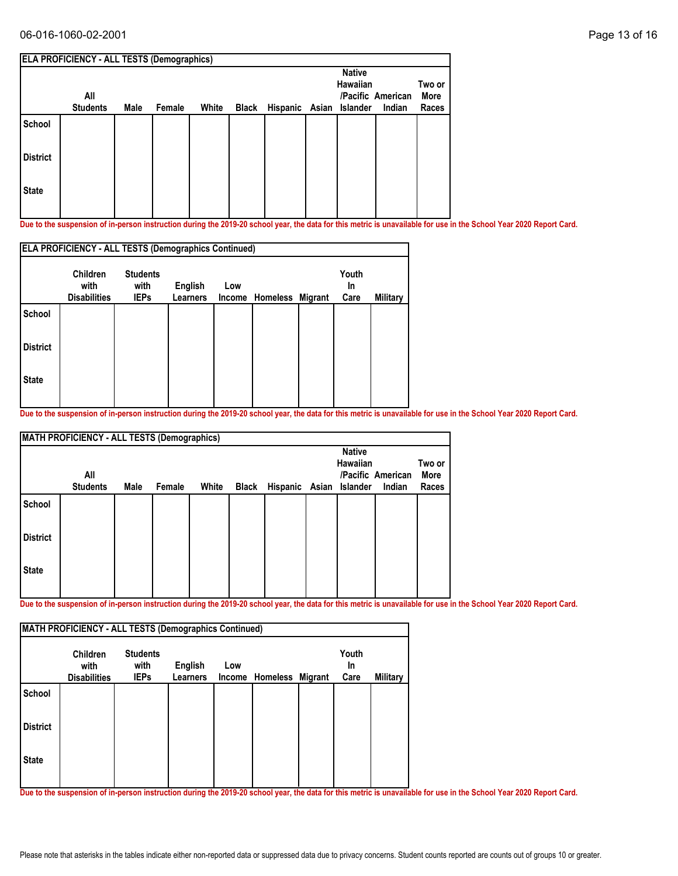| All             |      |        |       |                                                   |  | <b>Native</b>  |          | Two or<br>More    |
|-----------------|------|--------|-------|---------------------------------------------------|--|----------------|----------|-------------------|
| <b>Students</b> | Male | Female | White | <b>Black</b>                                      |  | Islander       | Indian   | Races             |
|                 |      |        |       |                                                   |  |                |          |                   |
|                 |      |        |       |                                                   |  |                |          |                   |
|                 |      |        |       |                                                   |  |                |          |                   |
|                 |      |        |       | <b>ELA PROFICIENCY - ALL TESTS (Demographics)</b> |  | Hispanic Asian | Hawaiian | /Pacific American |

|                 | <b>ELA PROFICIENCY - ALL TESTS (Demographics Continued)</b> |                                        |                                   |     |                 |                |                     |                 |
|-----------------|-------------------------------------------------------------|----------------------------------------|-----------------------------------|-----|-----------------|----------------|---------------------|-----------------|
|                 | <b>Children</b><br>with<br><b>Disabilities</b>              | <b>Students</b><br>with<br><b>IEPs</b> | <b>English</b><br><b>Learners</b> | Low | Income Homeless | <b>Migrant</b> | Youth<br>In<br>Care | <b>Military</b> |
| <b>School</b>   |                                                             |                                        |                                   |     |                 |                |                     |                 |
| <b>District</b> |                                                             |                                        |                                   |     |                 |                |                     |                 |
| <b>State</b>    |                                                             |                                        |                                   |     |                 |                |                     |                 |
|                 |                                                             |                                        |                                   |     |                 |                |                     |                 |

**Due to the suspension of in-person instruction during the 2019-20 school year, the data for this metric is unavailable for use in the School Year 2020 Report Card.**

|                 | <b>MATH PROFICIENCY - ALL TESTS (Demographics)</b> |      |        |       |       |                         |                                  |                             |                         |
|-----------------|----------------------------------------------------|------|--------|-------|-------|-------------------------|----------------------------------|-----------------------------|-------------------------|
|                 | All<br><b>Students</b>                             | Male | Female | White | Black | Hispanic Asian Islander | <b>Native</b><br><b>Hawaiian</b> | /Pacific American<br>Indian | Two or<br>More<br>Races |
| School          |                                                    |      |        |       |       |                         |                                  |                             |                         |
| <b>District</b> |                                                    |      |        |       |       |                         |                                  |                             |                         |
| <b>State</b>    |                                                    |      |        |       |       |                         |                                  |                             |                         |

**Due to the suspension of in-person instruction during the 2019-20 school year, the data for this metric is unavailable for use in the School Year 2020 Report Card.**

|                 | <b>Children</b><br>with | <b>Students</b><br>with | <b>English</b>  | Low |                         | Youth<br><b>In</b> |          |
|-----------------|-------------------------|-------------------------|-----------------|-----|-------------------------|--------------------|----------|
|                 | <b>Disabilities</b>     | <b>IEPs</b>             | <b>Learners</b> |     | Income Homeless Migrant | Care               | Military |
| <b>School</b>   |                         |                         |                 |     |                         |                    |          |
| <b>District</b> |                         |                         |                 |     |                         |                    |          |
| <b>State</b>    |                         |                         |                 |     |                         |                    |          |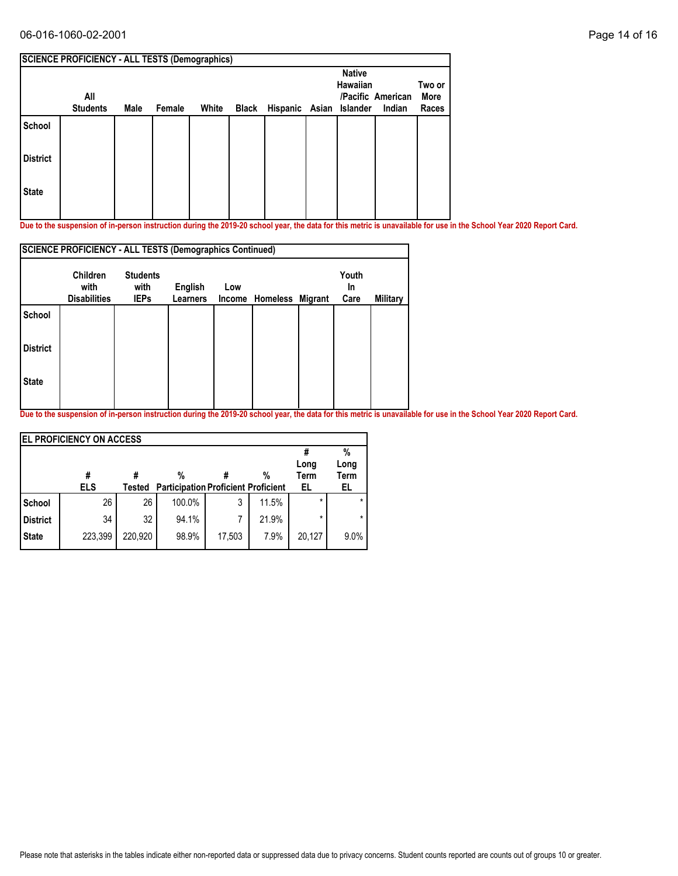### 06-016-1060-02-2001 Page 14 of 16

|                 | <b>SCIENCE PROFICIENCY - ALL TESTS (Demographics)</b> |      |        |       |       |                         |                                  |                   |        |
|-----------------|-------------------------------------------------------|------|--------|-------|-------|-------------------------|----------------------------------|-------------------|--------|
|                 |                                                       |      |        |       |       |                         | <b>Native</b><br><b>Hawaiian</b> |                   | Two or |
|                 | All                                                   |      |        |       |       |                         |                                  | /Pacific American | More   |
|                 | <b>Students</b>                                       | Male | Female | White | Black | Hispanic Asian Islander |                                  | Indian            | Races  |
| School          |                                                       |      |        |       |       |                         |                                  |                   |        |
| <b>District</b> |                                                       |      |        |       |       |                         |                                  |                   |        |
| <b>State</b>    |                                                       |      |        |       |       |                         |                                  |                   |        |
|                 |                                                       |      |        |       |       |                         |                                  |                   |        |

**Due to the suspension of in-person instruction during the 2019-20 school year, the data for this metric is unavailable for use in the School Year 2020 Report Card.**

|                 | <b>SCIENCE PROFICIENCY - ALL TESTS (Demographics Continued)</b> |                     |                            |     |                         |            |          |
|-----------------|-----------------------------------------------------------------|---------------------|----------------------------|-----|-------------------------|------------|----------|
|                 | <b>Children</b>                                                 | <b>Students</b>     |                            |     |                         | Youth      |          |
|                 | with<br><b>Disabilities</b>                                     | with<br><b>IEPs</b> | English<br><b>Learners</b> | Low | Income Homeless Migrant | In<br>Care | Military |
| <b>School</b>   |                                                                 |                     |                            |     |                         |            |          |
| <b>District</b> |                                                                 |                     |                            |     |                         |            |          |
| <b>State</b>    |                                                                 |                     |                            |     |                         |            |          |
|                 |                                                                 |                     |                            |     |                         |            |          |

|                 | <b>EL PROFICIENCY ON ACCESS</b> |         |                                                 |        |       |                           |                         |
|-----------------|---------------------------------|---------|-------------------------------------------------|--------|-------|---------------------------|-------------------------|
|                 | #<br><b>ELS</b>                 | Tested  | %<br><b>Participation Proficient Proficient</b> |        | %     | Long<br><b>Term</b><br>EL | %<br>Long<br>Term<br>EL |
| School          | 26                              | 26      | 100.0%                                          | 3      | 11.5% | $\star$                   |                         |
| <b>District</b> | 34                              | 32      | 94.1%                                           |        | 21.9% | *                         |                         |
| <b>State</b>    | 223,399                         | 220.920 | 98.9%                                           | 17,503 | 7.9%  | 20.127                    | 9.0%                    |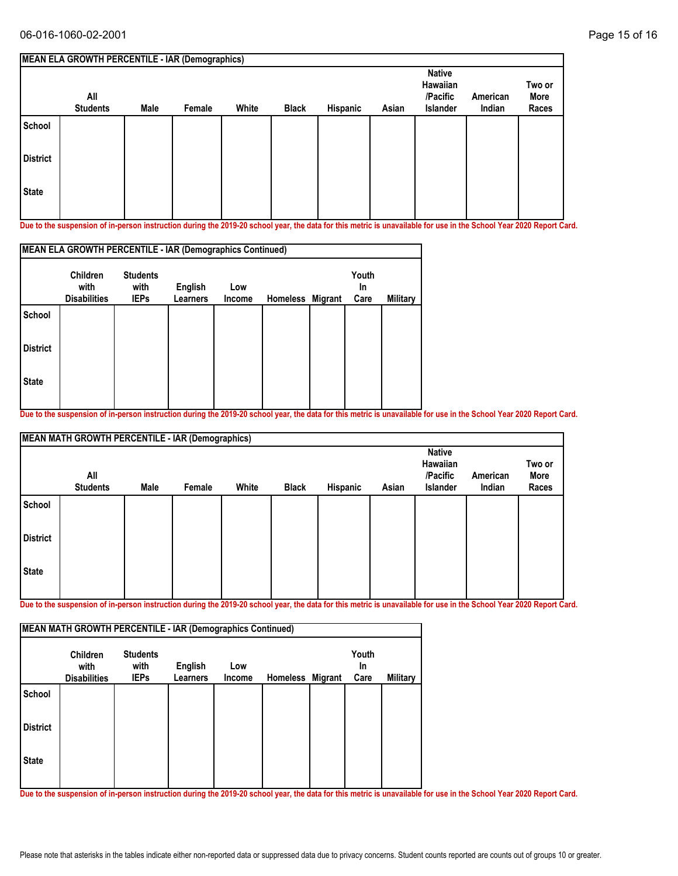|                 | MEAN ELA GROWTH PERCENTILE - IAR (Demographics) |      |        |       |              |          |       |                                                   |                    |                         |
|-----------------|-------------------------------------------------|------|--------|-------|--------------|----------|-------|---------------------------------------------------|--------------------|-------------------------|
|                 | All<br><b>Students</b>                          | Male | Female | White | <b>Black</b> | Hispanic | Asian | <b>Native</b><br>Hawaiian<br>/Pacific<br>Islander | American<br>Indian | Two or<br>More<br>Races |
| School          |                                                 |      |        |       |              |          |       |                                                   |                    |                         |
| <b>District</b> |                                                 |      |        |       |              |          |       |                                                   |                    |                         |
| <b>State</b>    |                                                 |      |        |       |              |          |       |                                                   |                    |                         |

|                 | MEAN ELA GROWTH PERCENTILE - IAR (Demographics Continued) |                         |                 |        |          |         |                    |          |
|-----------------|-----------------------------------------------------------|-------------------------|-----------------|--------|----------|---------|--------------------|----------|
|                 | <b>Children</b><br>with                                   | <b>Students</b><br>with | English         | Low    |          |         | Youth<br><b>In</b> |          |
|                 | <b>Disabilities</b>                                       | <b>IEPs</b>             | <b>Learners</b> | Income | Homeless | Migrant | Care               | Military |
| <b>School</b>   |                                                           |                         |                 |        |          |         |                    |          |
| <b>District</b> |                                                           |                         |                 |        |          |         |                    |          |
| <b>State</b>    |                                                           |                         |                 |        |          |         |                    |          |
|                 |                                                           |                         |                 |        |          |         |                    |          |

**Due to the suspension of in-person instruction during the 2019-20 school year, the data for this metric is unavailable for use in the School Year 2020 Report Card.**

|                 | <b>MEAN MATH GROWTH PERCENTILE - IAR (Demographics)</b> |      |        |       |              |          |       |                                                   |                    |                         |  |  |
|-----------------|---------------------------------------------------------|------|--------|-------|--------------|----------|-------|---------------------------------------------------|--------------------|-------------------------|--|--|
|                 | All<br><b>Students</b>                                  | Male | Female | White | <b>Black</b> | Hispanic | Asian | <b>Native</b><br>Hawaiian<br>/Pacific<br>Islander | American<br>Indian | Two or<br>More<br>Races |  |  |
| School          |                                                         |      |        |       |              |          |       |                                                   |                    |                         |  |  |
| <b>District</b> |                                                         |      |        |       |              |          |       |                                                   |                    |                         |  |  |
| <b>State</b>    |                                                         |      |        |       |              |          |       |                                                   |                    |                         |  |  |

**Due to the suspension of in-person instruction during the 2019-20 school year, the data for this metric is unavailable for use in the School Year 2020 Report Card.**

|                 | <b>Children</b><br>with | <b>Students</b><br>with | English         | Low    |                  | Youth<br><b>In</b> |                 |
|-----------------|-------------------------|-------------------------|-----------------|--------|------------------|--------------------|-----------------|
|                 | <b>Disabilities</b>     | <b>IEPs</b>             | <b>Learners</b> | Income | Homeless Migrant | Care               | <b>Military</b> |
| <b>School</b>   |                         |                         |                 |        |                  |                    |                 |
| <b>District</b> |                         |                         |                 |        |                  |                    |                 |
| <b>State</b>    |                         |                         |                 |        |                  |                    |                 |